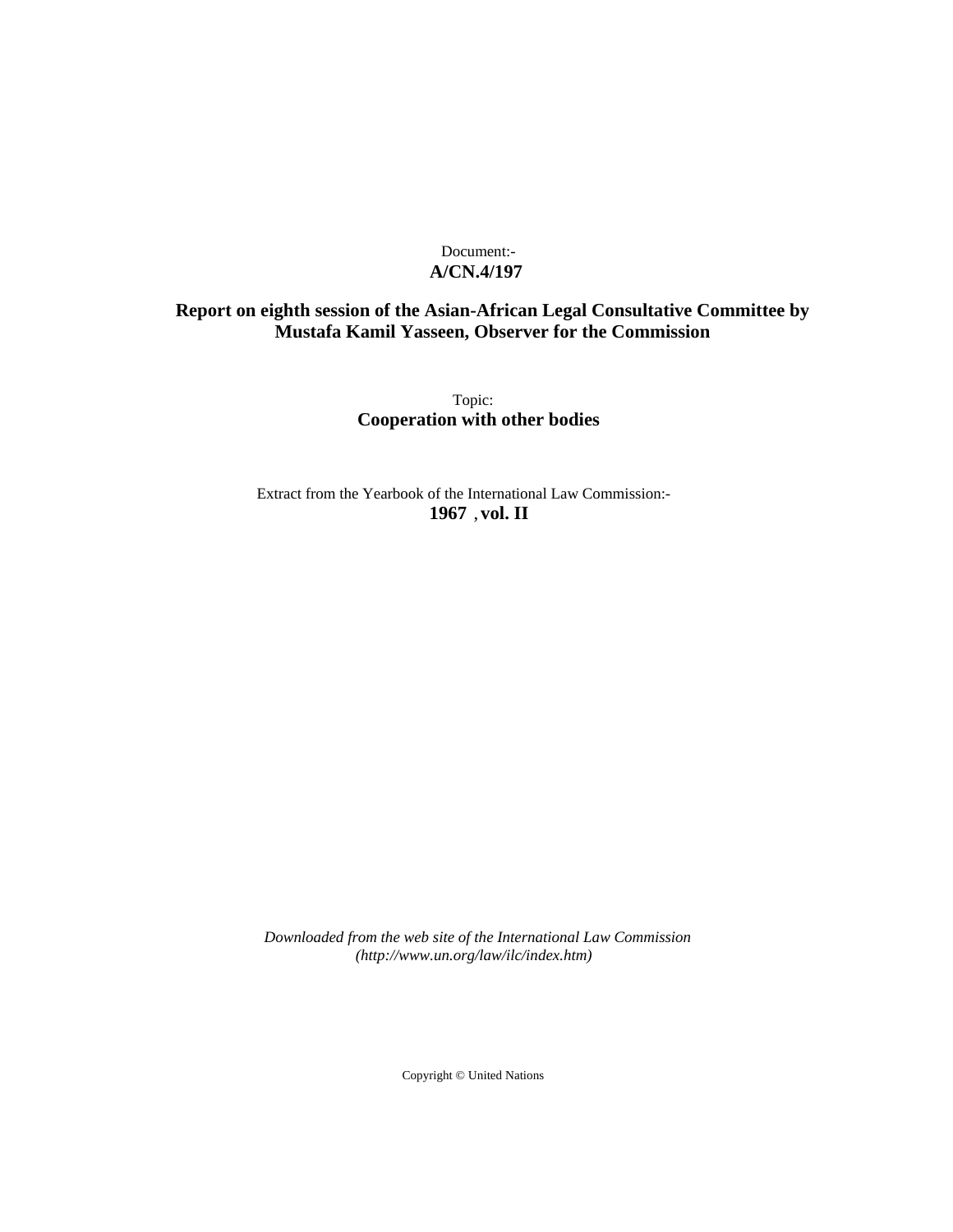# Document:- **A/CN.4/197**

# **Report on eighth session of the Asian-African Legal Consultative Committee by Mustafa Kamil Yasseen, Observer for the Commission**

Topic: **Cooperation with other bodies**

Extract from the Yearbook of the International Law Commission:- **1967** ,**vol. II**

*Downloaded from the web site of the International Law Commission (http://www.un.org/law/ilc/index.htm)*

Copyright © United Nations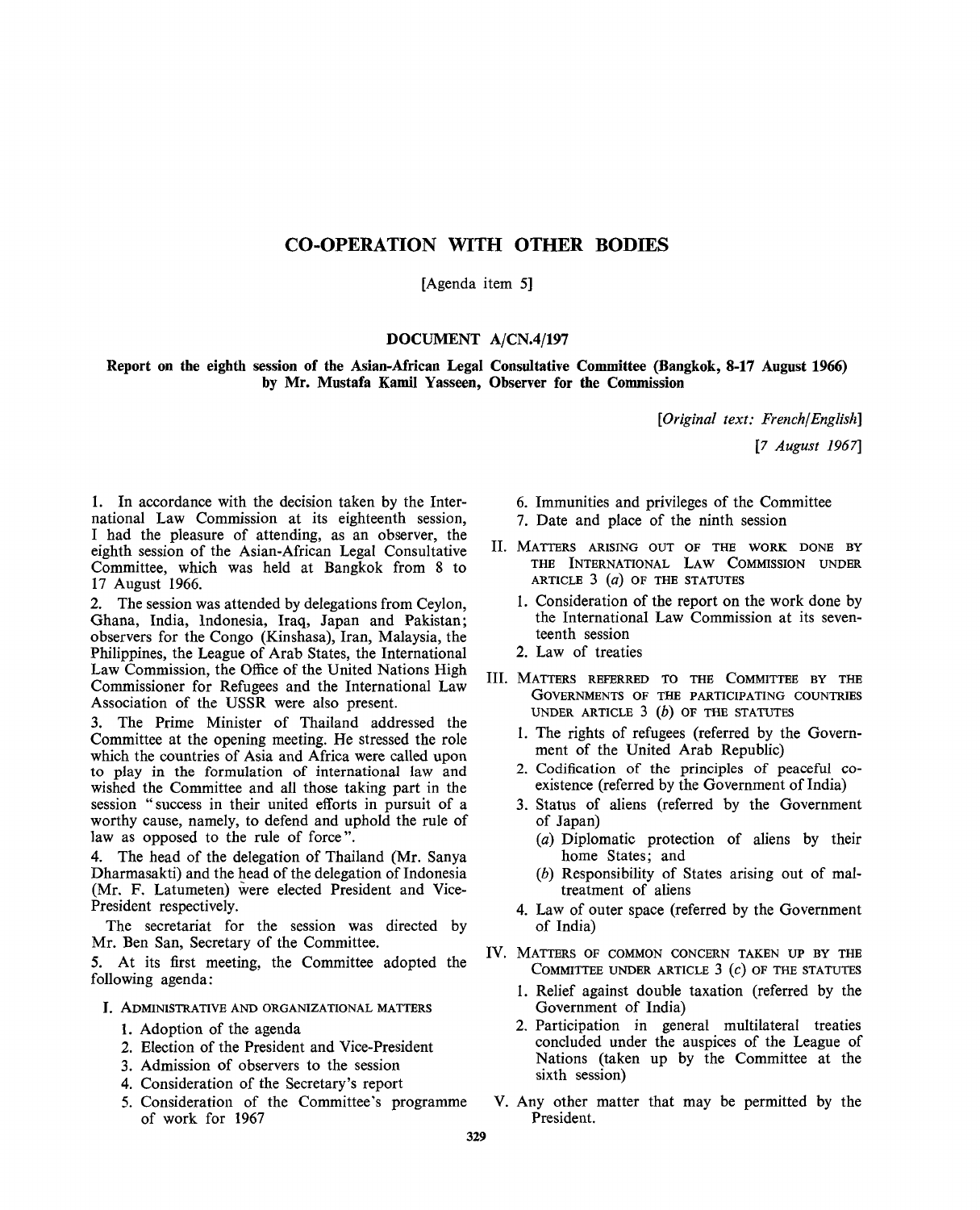# CO-OPERATION WITH OTHER BODIES

[Agenda item **5]**

# **DOCUMENT A/CN.4/197**

**Report on the eighth session of the Asian-African Legal Consultative Committee (Bangkok, 8-17 August 1966) by Mr. Mustafa Kamil Yasseen, Observer for the Commission**

*[Original text: French/English]*

*[7 August 1967]*

**1. In** accordance with the decision taken by the International Law Commission at its eighteenth session, I had the pleasure of attending, as an observer, the eighth session of the Asian-African Legal Consultative Committee, which was held at Bangkok from 8 to 17 August 1966.

2. The session was attended by delegations from Ceylon, Ghana, India, Indonesia, Iraq, Japan and Pakistan; observers for the Congo (Kinshasa), Iran, Malaysia, the Philippines, the League of Arab States, the International Law Commission, the Office of the United Nations High Commissioner for Refugees and the International Law Association of the USSR were also present.

3. The Prime Minister of Thailand addressed the Committee at the opening meeting. He stressed the role which the countries of Asia and Africa were called upon to play in the formulation of international law and wished the Committee and all those taking part in the session "success in their united efforts in pursuit of a worthy cause, namely, to defend and uphold the rule of law as opposed to the rule of force".

4. The head of the delegation of Thailand (Mr. Sanya Dharmasakti) and the head of the delegation of Indonesia (Mr. F. Latumeten) were elected President and Vice-President respectively.

The secretariat for the session was directed by Mr. Ben San, Secretary of the Committee.

5. At its first meeting, the Committee adopted the following agenda:

- I. ADMINISTRATIVE AND ORGANIZATIONAL MATTERS
	- 1. Adoption of the agenda
	- 2. Election of the President and Vice-President
	- 3. Admission of observers to the session
	- 4. Consideration of the Secretary's report
	- 5. Consideration of the Committee's programme of work for 1967
- 6. Immunities and privileges of the Committee
- 7. Date and place of the ninth session
- II. MATTERS ARISING OUT OF THE WORK DONE BY THE INTERNATIONAL LAW COMMISSION UNDER ARTICLE 3 *(A)* OF THE STATUTES
	- 1. Consideration of the report on the work done by the International Law Commission at its seventeenth session
	- 2. Law of treaties
- III. MATTERS REFERRED TO THE COMMITTEE BY THE GOVERNMENTS OF THE PARTICIPATING COUNTRIES UNDER ARTICLE 3 *(B)* OF THE STATUTES
	- 1. The rights of refugees (referred by the Government of the United Arab Republic)
	- 2. Codification of the principles of peaceful coexistence (referred by the Government of India)
	- 3. Status of aliens (referred by the Government of Japan)
		- *(a)* Diplomatic protection of aliens by their home States; and
		- *(b)* Responsibility of States arising out of maltreatment of aliens
	- 4. Law of outer space (referred by the Government of India)
- IV. MATTERS OF COMMON CONCERN TAKEN UP BY THE COMMITTEE UNDER ARTICLE  $3$  (c) OF THE STATUTES
	- 1. Relief against double taxation (referred by the Government of India)
	- 2. Participation in general multilateral treaties concluded under the auspices of the League of Nations (taken up by the Committee at the sixth session)
- V. Any other matter that may be permitted by the President.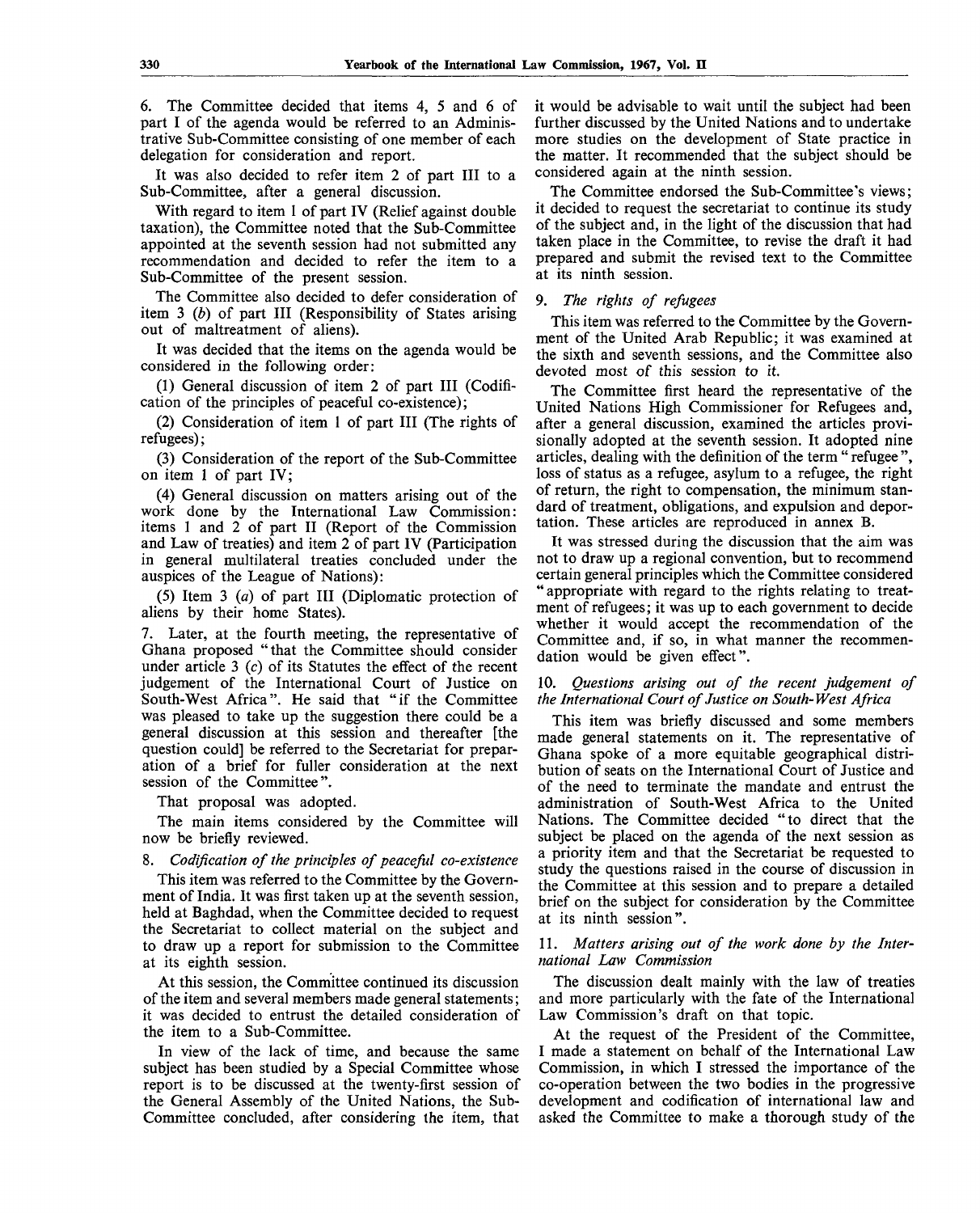6. The Committee decided that items 4, 5 and 6 of part I of the agenda would be referred to an Administrative Sub-Committee consisting of one member of each delegation for consideration and report.

It was also decided to refer item 2 of part HI to a Sub-Committee, after a general discussion.

With regard to item 1 of part IV (Relief against double taxation), the Committee noted that the Sub-Committee appointed at the seventh session had not submitted any recommendation and decided to refer the item to a Sub-Committee of the present session.

The Committee also decided to defer consideration of item 3 *(b)* of part HI (Responsibility of States arising out of maltreatment of aliens).

It was decided that the items on the agenda would be considered in the following order:

(1) General discussion of item 2 of part III (Codification of the principles of peaceful co-existence);

(2) Consideration of item 1 of part III (The rights of refugees);

(3) Consideration of the report of the Sub-Committee on item 1 of part IV;

(4) General discussion on matters arising out of the work done by the International Law Commission: items 1 and 2 of part II (Report of the Commission and Law of treaties) and item 2 of part IV (Participation in general multilateral treaties concluded under the auspices of the League of Nations):

(5) Item 3 *(a)* of part III (Diplomatic protection of aliens by their home States).

7. Later, at the fourth meeting, the representative of Ghana proposed "that the Committee should consider under article 3 (c) of its Statutes the effect of the recent judgement of the International Court of Justice on South-West Africa". He said that "if the Committee was pleased to take up the suggestion there could be a general discussion at this session and thereafter [the question could] be referred to the Secretariat for preparation of a brief for fuller consideration at the next session of the Committee".

That proposal was adopted.

The main items considered by the Committee will now be briefly reviewed.

8. *Codification of the principles of peaceful co-existence*

This item was referred to the Committee by the Government of India. It was first taken up at the seventh session, held at Baghdad, when the Committee decided to request the Secretariat to collect material on the subject and to draw up a report for submission to the Committee at its eighth session.

At this session, the Committee continued its discussion of the item and several members made general statements; it was decided to entrust the detailed consideration of the item to a Sub-Committee.

In view of the lack of time, and because the same subject has been studied by a Special Committee whose report is to be discussed at the twenty-first session of the General Assembly of the United Nations, the Sub-Committee concluded, after considering the item, that it would be advisable to wait until the subject had been further discussed by the United Nations and to undertake more studies on the development of State practice in the matter. It recommended that the subject should be considered again at the ninth session.

The Committee endorsed the Sub-Committee's views; it decided to request the secretariat to continue its study of the subject and, in the light of the discussion that had taken place in the Committee, to revise the draft it had prepared and submit the revised text to the Committee at its ninth session.

### 9. *The rights of refugees*

This item was referred to the Committee by the Government of the United Arab Republic; it was examined at the sixth and seventh sessions, and the Committee also devoted most of this session to it.

The Committee first heard the representative of the United Nations High Commissioner for Refugees and, after a general discussion, examined the articles provisionally adopted at the seventh session. It adopted nine articles, dealing with the definition of the term " refugee ", loss of status as a refugee, asylum to a refugee, the right of return, the right to compensation, the minimum standard of treatment, obligations, and expulsion and deportation. These articles are reproduced in annex B.

It was stressed during the discussion that the aim was not to draw up a regional convention, but to recommend certain general principles which the Committee considered "appropriate with regard to the rights relating to treatment of refugees; it was up to each government to decide whether it would accept the recommendation of the Committee and, if so, in what manner the recommendation would be given effect".

# 10. *Questions arising out of the recent judgement of the International Court of Justice on South-West Africa*

This item was briefly discussed and some members made general statements on it. The representative of Ghana spoke of a more equitable geographical distribution of seats on the International Court of Justice and of the need to terminate the mandate and entrust the administration of South-West Africa to the United Nations. The Committee decided "to direct that the subject be placed on the agenda of the next session as a priority item and that the Secretariat be requested to study the questions raised in the course of discussion in the Committee at this session and to prepare a detailed brief on the subject for consideration by the Committee at its ninth session".

# 11. *Matters arising out of the work done by the International Law Commission*

The discussion dealt mainly with the law of treaties and more particularly with the fate of the International Law Commission's draft on that topic.

At the request of the President of the Committee, I made a statement on behalf of the International Law Commission, in which I stressed the importance of the co-operation between the two bodies in the progressive development and codification of international law and asked the Committee to make a thorough study of the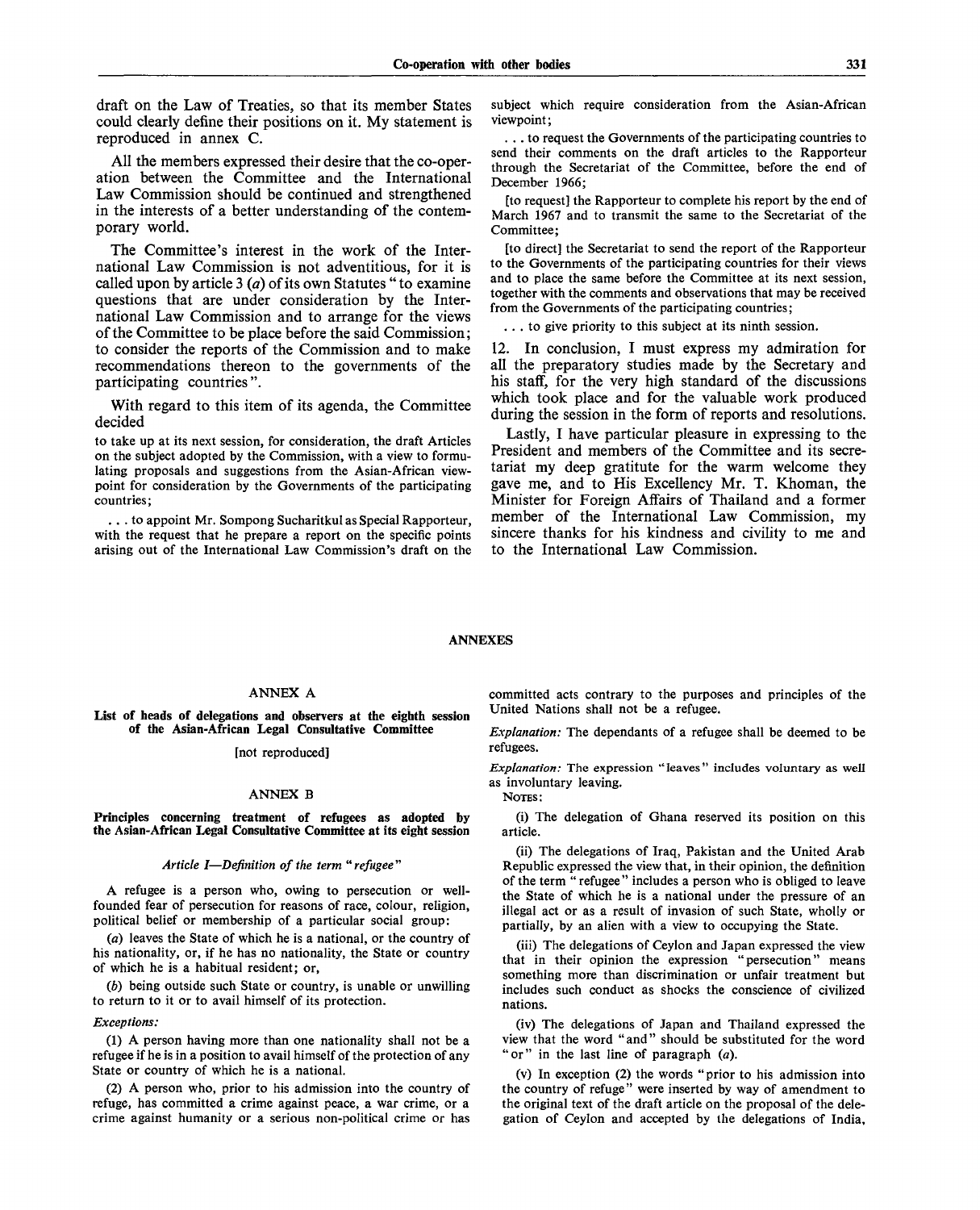draft on the Law of Treaties, so that its member States could clearly define their positions on it. My statement is reproduced in annex C.

All the members expressed their desire that the co-operation between the Committee and the International Law Commission should be continued and strengthened in the interests of a better understanding of the contemporary world.

The Committee's interest in the work of the International Law Commission is not adventitious, for it is called upon by article 3 (a) of its own Statutes " to examine questions that are under consideration by the International Law Commission and to arrange for the views of the Committee to be place before the said Commission; to consider the reports of the Commission and to make recommendations thereon to the governments of the participating countries".

With regard to this item of its agenda, the Committee decided

to take up at its next session, for consideration, the draft Articles on the subject adopted by the Commission, with a view to formulating proposals and suggestions from the Asian-African viewpoint for consideration by the Governments of the participating countries;

. . . to appoint Mr. Sompong Sucharitkul as Special Rapporteur, with the request that he prepare a report on the specific points arising out of the International Law Commission's draft on the subject which require consideration from the Asian-African viewpoint;

. . . to request the Governments of the participating countries to send their comments on the draft articles to the Rapporteur through the Secretariat of the Committee, before the end of December 1966;

[to request] the Rapporteur to complete his report by the end of March 1967 and to transmit the same to the Secretariat of the Committee;

[to direct] the Secretariat to send the report of the Rapporteur to the Governments of the participating countries for their views and to place the same before the Committee at its next session, together with the comments and observations that may be received from the Governments of the participating countries;

. . . to give priority to this subject at its ninth session.

12. In conclusion, I must express my admiration for all the preparatory studies made by the Secretary and his staff, for the very high standard of the discussions which took place and for the valuable work produced during the session in the form of reports and resolutions.

Lastly, I have particular pleasure in expressing to the President and members of the Committee and its secretariat my deep gratitute for the warm welcome they gave me, and to His Excellency Mr. T. Khoman, the Minister for Foreign Affairs of Thailand and a former member of the International Law Commission, my sincere thanks for his kindness and civility to me and to the International Law Commission.

#### **ANNEXES**

#### ANNEX A

**List of heads of delegations and observers at the eighth session of the Asian-African Legal Consultative Committee**

[not reproduced]

#### ANNEX B

**Principles concerning treatment of refugees as adopted by the Asian-African Legal Consultative Committee at its eight session**

#### *Article I—Definition of the term "refugee"*

*A* refugee is a person who, owing to persecution or wellfounded fear of persecution for reasons of race, colour, religion, political belief or membership of a particular social group:

(a) leaves the State of which he is a national, or the country of his nationality, or, if he has no nationality, the State or country of which he is a habitual resident; or,

*(b)* being outside such State or country, is unable or unwilling to return to it or to avail himself of its protection.

*Exceptions:*

(1) A person having more than one nationality shall not be a refugee if he is in a position to avail himself of the protection of any State or country of which he is a national.

(2) A person who, prior to his admission into the country of refuge, has committed a crime against peace, a war crime, or a crime against humanity or a serious non-political crime or has committed acts contrary to the purposes and principles of the United Nations shall not be a refugee.

*Explanation:* The dependants of a refugee shall be deemed to be refugees.

*Explanation:* The expression "leaves" includes voluntary as well as involuntary leaving.

NOTES<sup>.</sup>

(i) The delegation of Ghana reserved its position on this article.

(ii) The delegations of Iraq, Pakistan and the United Arab Republic expressed the view that, in their opinion, the definition of the term " refugee" includes a person who is obliged to leave the State of which he is a national under the pressure of an illegal act or as a result of invasion of such State, wholly or partially, by an alien with a view to occupying the State.

(iii) The delegations of Ceylon and Japan expressed the view that in their opinion the expression "persecution" means something more than discrimination or unfair treatment but includes such conduct as shocks the conscience of civilized nations.

(iv) The delegations of Japan and Thailand expressed the view that the word "and" should be substituted for the word "or" in the last line of paragraph (a).

(v) In exception (2) the words "prior to his admission into the country of refuge" were inserted by way of amendment to the original text of the draft article on the proposal of the delegation of Ceylon and accepted by the delegations of India,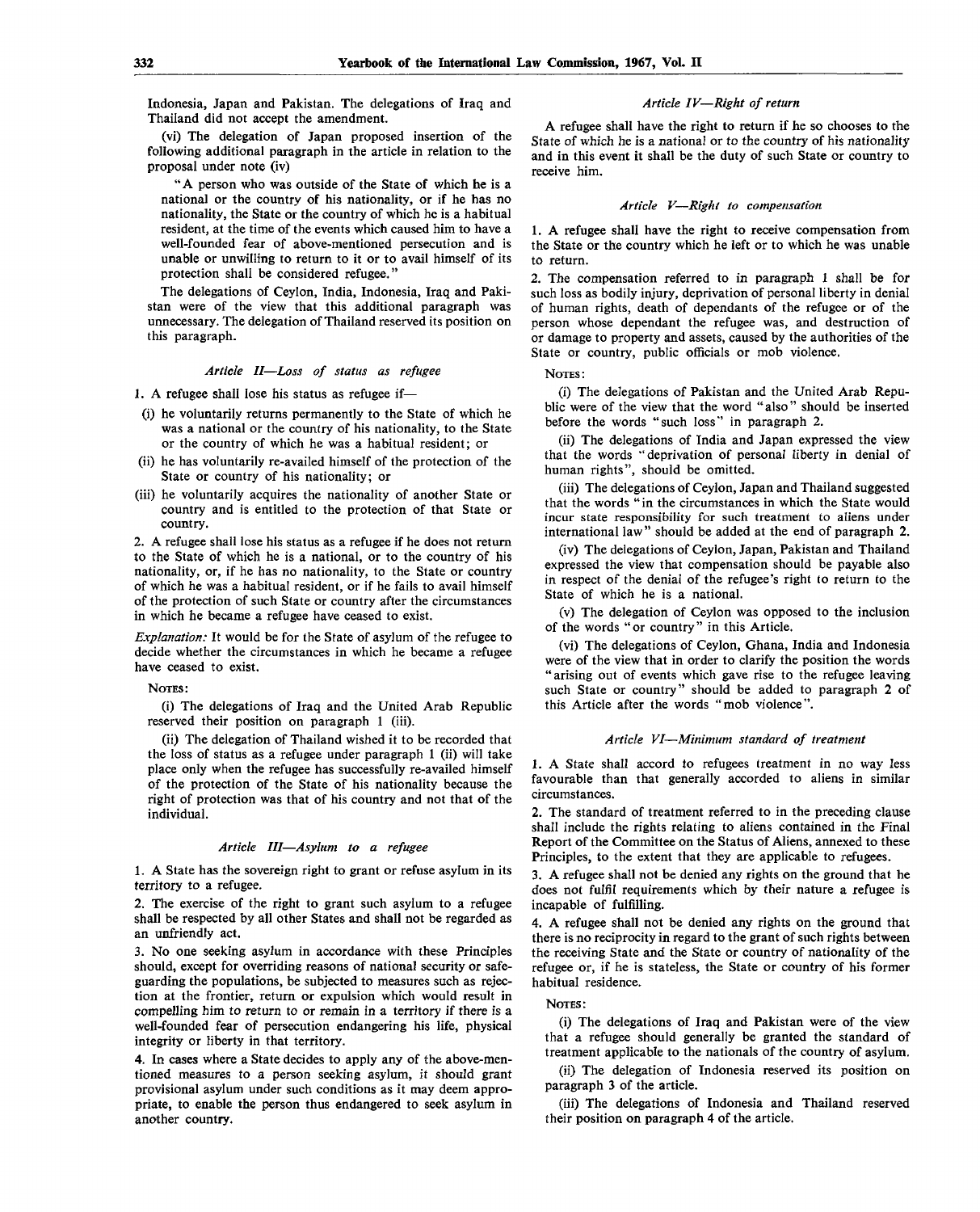Indonesia, Japan and Pakistan. The delegations of Iraq and Thailand did not accept the amendment.

(vi) The delegation of Japan proposed insertion of the following additional paragraph in the article in relation to the proposal under note (iv)

"A person who was outside of the State of which he is a national or the country of his nationality, or if he has no nationality, the State or the country of which he is a habitual resident, at the time of the events which caused him to have a well-founded fear of above-mentioned persecution and is unable or unwilling to return to it or to avail himself of its protection shall be considered refugee.'

The delegations of Ceylon, India, Indonesia, Iraq and Pakistan were of the view that this additional paragraph was unnecessary. The delegation of Thailand reserved its position on this paragraph.

#### *Article II*—*Loss of status as refugee*

1. A refugee shall lose his status as refugee if—

- (i) he voluntarily returns permanently to the State of which he was a national or the country of his nationality, to the State or the country of which he was a habitual resident; or
- (ii) he has voluntarily re-availed himself of the protection of the State or country of his nationality; or
- (iii) he voluntarily acquires the nationality of another State or country and is entitled to the protection of that State or country.

2. A refugee shall lose his status as a refugee if he does not return to the State of which he is a national, or to the country of his nationality, or, if he has no nationality, to the State or country of which he was a habitual resident, or if he fails to avail himself of the protection of such State or country after the circumstances in which he became a refugee have ceased to exist.

*Explanation: It* would be for the State of asylum of the refugee to decide whether the circumstances in which he became a refugee have ceased to exist.

NOTES :

(i) The delegations of Iraq and the United Arab Republic reserved their position on paragraph 1 (iii).

(ii) The delegation of Thailand wished it to be recorded that the loss of status as a refugee under paragraph 1 (ii) will take place only when the refugee has successfully re-availed himself of the protection of the State of his nationality because the right of protection was that of his country and not that of the individual.

#### *Article III*—*Asylum to a refugee*

1. A State has the sovereign right to grant or refuse asylum in its territory to a refugee.

2. The exercise of the right to grant such asylum to a refugee shall be respected by all other States and shall not be regarded as an unfriendly act.

3. No one seeking asylum in accordance with these Principles should, except for overriding reasons of national security or safeguarding the populations, be subjected to measures such as rejection at the frontier, return or expulsion which would result in compelling him to return *to* or remain in a territory if there is a well-founded fear of persecution endangering his life, physical integrity or liberty in that territory.

4. In cases where a State decides to apply any of the above-mentioned measures to a person seeking asylum, it should grant provisional asylum under such conditions as it may deem appropriate, to enable the person thus endangered to seek asylum in another country.

## *Article IV*—*Right of return*

A refugee shall have the right to return if he so chooses to the State of which he is a national or *to* the country of his nationality and in this event it shall be the duty of such State or country to receive him.

#### *Article V*—*Right to compensation*

1. A refugee shall have the right to receive compensation from the State or the country which he left or to which he was unable to return.

2. The compensation referred to in paragraph 1 shall be for such loss as bodily injury, deprivation of personal liberty in denial of human rights, death of dependants of the refugee or of the person whose dependant the refugee was, and destruction of or damage to property and assets, caused by the authorities of the State or country, public officials or mob violence.

NOTES:

(i) The delegations of Pakistan and the United Arab Republic were of the view that the word "also" should be inserted before the words "such loss" in paragraph 2.

(ii) The delegations of India and Japan expressed the view that the words "deprivation of personal liberty in denial of human rights", should be omitted.

(iii) The delegations of Ceylon, Japan and Thailand suggested that the words "in the circumstances in which the State would incur state responsibility for such treatment to aliens under international law" should be added at the end of paragraph 2.

(iv) The delegations of Ceylon, Japan, Pakistan and Thailand expressed the view that compensation should be payable also in respect of the denial of the refugee's right to return to the State of which he is a national.

(v) The delegation of Ceylon was opposed to the inclusion of the words "or country" in this Article.

(vi) The delegations of Ceylon, Ghana, India and Indonesia were of the view that in order to clarify the position the words "arising out of events which gave rise to the refugee leaving such State or country" should be added to paragraph 2 of this Article after the words "mob violence".

#### *Article VI*—*Minimum standard of treatment*

1. A State shall accord to refugees treatment in no way less favourable than that generally accorded to aliens in similar circumstances.

2. The standard of treatment referred to in the preceding clause shall include the rights relating to aliens contained in the Final Report of the Committee on the Status of Aliens, annexed to these Principles, to the extent that they are applicable to refugees.

3. A refugee shall not be denied any rights on the ground that he does not fulfil requirements which by their nature a refugee is incapable of fulfilling.

4. A refugee shall not be denied any rights on the ground that there is no reciprocity in regard to the grant of such rights between the receiving State and the State or country of nationality of the refugee or, if he is stateless, the State or country of his former habitual residence.

NOTES:

(i) The delegations of Iraq and Pakistan were of the view that a refugee should generally be granted the standard of treatment applicable to the nationals of the country of asylum.

(ii) The delegation of Indonesia reserved its position on paragraph 3 of the article.

(iii) The delegations of Indonesia and Thailand reserved their position on paragraph 4 of the article.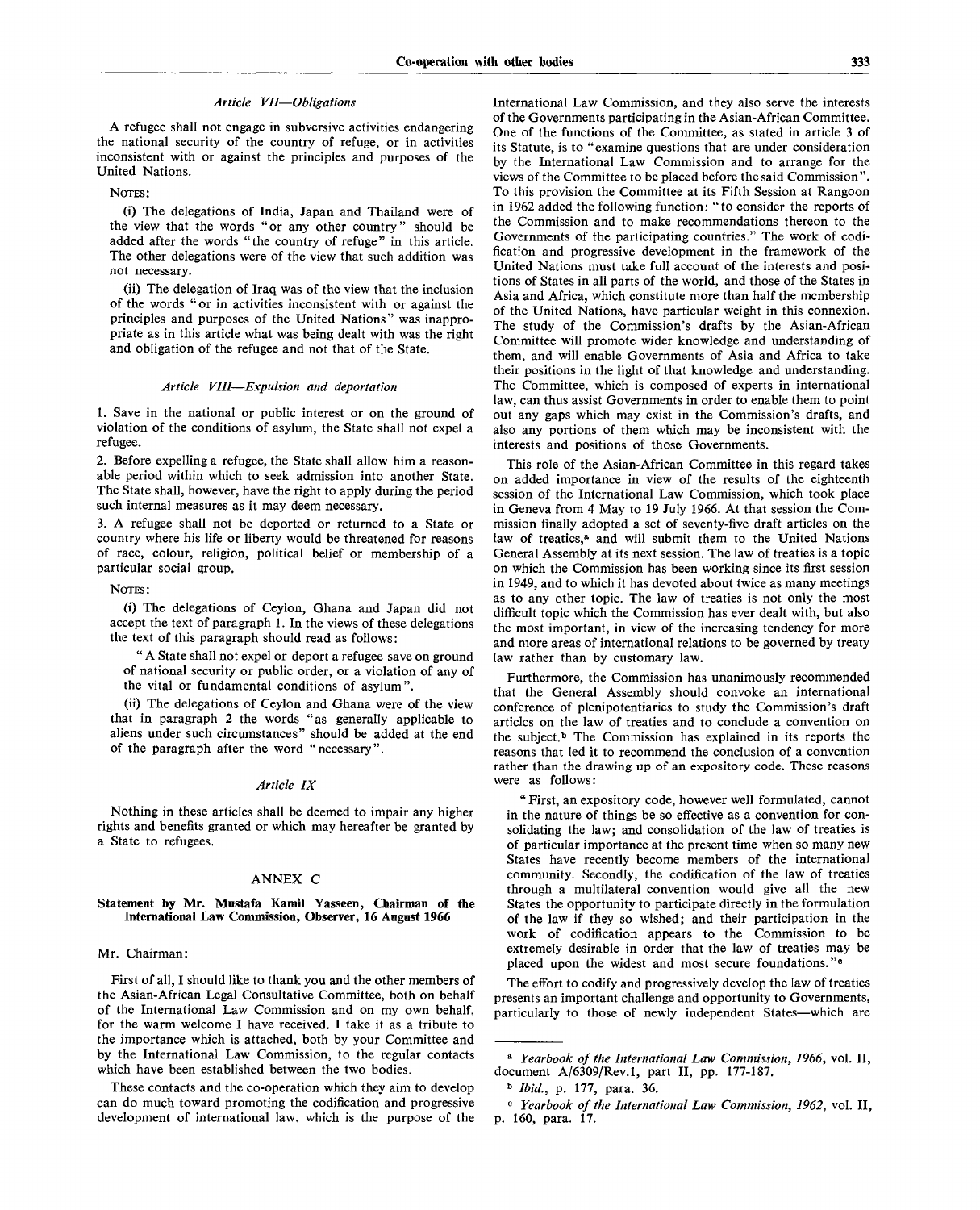### *Article VII—Obligations*

*A* refugee shall not engage in subversive activities endangering the national security of the country of refuge, or in activities inconsistent with or against the principles and purposes of the United Nations.

#### NOTES:

(i) The delegations of India, Japan and Thailand were of the view that the words "or any other country" should be added after the words "the country of refuge" in this article. The other delegations were of the view that such addition was not necessary.

(ii) The delegation of Iraq was of the view that the inclusion of the words " or in activities inconsistent with or against the principles and purposes of the United Nations" was inappropriate as in this article what was being dealt with was the right and obligation of the refugee and not that of the State.

#### *Article VIII—Expulsion and deportation*

1. Save in the national or public interest or on the ground of violation of the conditions of asylum, the State shall not expel a refugee.

2. Before expelling a refugee, the State shall allow him a reasonable period within which to seek admission into another State. The State shall, however, have the right to apply during the period such internal measures as it may deem necessary.

3. A refugee shall not be deported or returned to a State or country where his life or liberty would be threatened for reasons of race, colour, religion, political belief or membership of a particular social group.

NOTES :

(i) The delegations of Ceylon, Ghana and Japan did not accept the text of paragraph 1. In the views of these delegations the text of this paragraph should read as follows:

" A State shall not expel or deport a refugee save on ground of national security or public order, or a violation of any of the vital or fundamental conditions of asylum".

(ii) The delegations of Ceylon and Ghana were of the view that in paragraph 2 the words "as generally applicable to aliens under such circumstances" should be added at the end of the paragraph after the word "necessary".

## *Article IX*

Nothing in these articles shall be deemed to impair any higher rights and benefits granted or which may hereafter be granted by a State to refugees.

#### ANNEX C

#### **Statement by Mr. Mustafa Kamil Yasseen, Chairman of the International Law Commission, Observer, 16 August 1966**

#### Mr. Chairman:

First of all, I should like to thank you and the other members of the Asian-African Legal Consultative Committee, both on behalf of the International Law Commission and on my own behalf, for the warm welcome I have received. I take it as a tribute to the importance which is attached, both by your Committee and by the International Law Commission, to the regular contacts which have been established between the two bodies.

These contacts and the co-operation which they aim to develop can do much toward promoting the codification and progressive development of international law, which is the purpose of the International Law Commission, and they also serve the interests of the Governments participating in the Asian-African Committee. One of the functions of the Committee, as stated in article 3 of its Statute, is to "examine questions that are under consideration by the International Law Commission and to arrange for the views of the Committee to be placed before the said Commission". To this provision the Committee at its Fifth Session at Rangoon in 1962 added the following function: "to consider the reports of the Commission and to make recommendations thereon to the Governments of the participating countries." The work of codification and progressive development in the framework of the United Nations must take full account of the interests and positions of States in all parts of the world, and those of the States in Asia and Africa, which constitute more than half the membership of the United Nations, have particular weight in this connexion. The study of the Commission's drafts by the Asian-African Committee will promote wider knowledge and understanding of them, and will enable Governments of Asia and Africa to take their positions in the light of that knowledge and understanding. The Committee, which is composed of experts in international law, can thus assist Governments in order to enable them to point out any gaps which may exist in the Commission's drafts, and also any portions of them which may be inconsistent with the interests and positions of those Governments.

This role of the Asian-African Committee in this regard takes on added importance in view of the results of the eighteenth session of the International Law Commission, which took place in Geneva from 4 May to 19 July 1966. At that session the Commission finally adopted a set of seventy-five draft articles on the law of treatics,<sup>a</sup> and will submit them to the United Nations General Assembly at its next session. The law of treaties is a topic on which the Commission has been working since its first session in 1949, and to which it has devoted about twice as many meetings as to any other topic. The law of treaties is not only the most difficult topic which the Commission has ever dealt with, but also the most important, in view of the increasing tendency for more and more areas of international relations to be governed by treaty law rather than by customary law.

Furthermore, the Commission has unanimously recommended that the General Assembly should convoke an international conference of plenipotentiaries to study the Commission's draft articles on the law of treaties and to conclude a convention on the subject.<sup>b</sup> The Commission has explained in its reports the reasons that led it to recommend the conclusion of a convention rather than the drawing up of an expository code. These reasons were as follows:

"First, an expository code, however well formulated, cannot in the nature of things be so effective as a convention for consolidating the law; and consolidation of the law of treaties is of particular importance at the present time when so many new States have recently become members of the international community. Secondly, the codification of the law of treaties through a multilateral convention would give all the new States the opportunity to participate directly in the formulation of the law if they so wished; and their participation in the work of codification appears to the Commission to be extremely desirable in order that the law of treaties may be placed upon the widest and most secure foundations."<sup>e</sup>

The effort to codify and progressively develop the law of treaties presents an important challenge and opportunity to Governments, particularly to those of newly independent States—which are

a  *Yearbook of the International Law Commission, 1966,* vol. II, document A/6309/Rev.l, part II, pp. 177-187.

<sup>6</sup>  *Ibid.,* p. 177, para. 36.

c  *Yearbook of the International Law Commission, 1962,* vol. II, p. 160, para. 17.